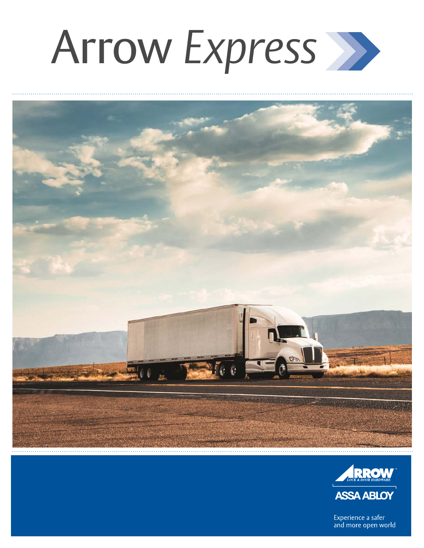



Experience a safer and more open world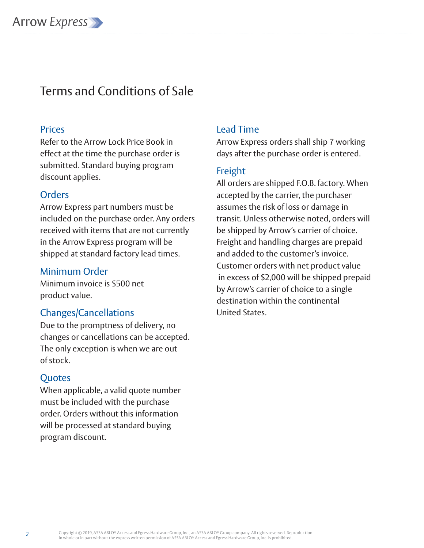## Terms and Conditions of Sale

#### Prices

Refer to the Arrow Lock Price Book in effect at the time the purchase order is submitted. Standard buying program discount applies.

#### **Orders**

Arrow Express part numbers must be included on the purchase order. Any orders received with items that are not currently in the Arrow Express program will be shipped at standard factory lead times.

#### Minimum Order

Minimum invoice is \$500 net product value.

#### Changes/Cancellations

Due to the promptness of delivery, no changes or cancellations can be accepted. The only exception is when we are out of stock.

#### **Quotes**

When applicable, a valid quote number must be included with the purchase order. Orders without this information will be processed at standard buying program discount.

#### Lead Time

Arrow Express orders shall ship 7 working days after the purchase order is entered.

#### Freight

All orders are shipped F.O.B. factory. When accepted by the carrier, the purchaser assumes the risk of loss or damage in transit. Unless otherwise noted, orders will be shipped by Arrow's carrier of choice. Freight and handling charges are prepaid and added to the customer's invoice. Customer orders with net product value in excess of \$2,000 will be shipped prepaid by Arrow's carrier of choice to a single destination within the continental United States.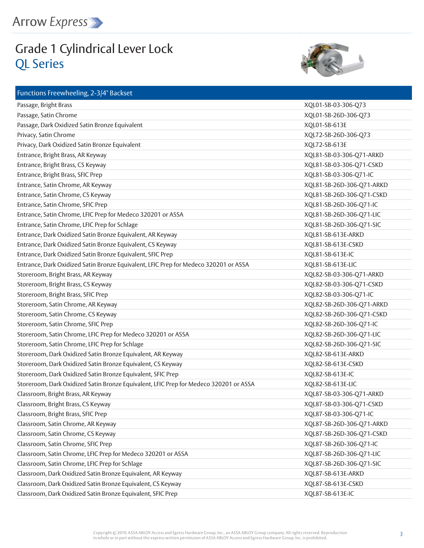## Grade 1 Cylindrical Lever Lock QL Series



| Functions Freewheeling, 2-3/4" Backset                                                |                           |
|---------------------------------------------------------------------------------------|---------------------------|
| Passage, Bright Brass                                                                 | XQL01-SB-03-306-Q73       |
| Passage, Satin Chrome                                                                 | XQL01-SB-26D-306-Q73      |
| Passage, Dark Oxidized Satin Bronze Equivalent                                        | XQL01-SB-613E             |
| Privacy, Satin Chrome                                                                 | XQL72-SB-26D-306-Q73      |
| Privacy, Dark Oxidized Satin Bronze Equivalent                                        | XQL72-SB-613E             |
| Entrance, Bright Brass, AR Keyway                                                     | XQL81-SB-03-306-Q71-ARKD  |
| Entrance, Bright Brass, CS Keyway                                                     | XQL81-SB-03-306-Q71-CSKD  |
| Entrance, Bright Brass, SFIC Prep                                                     | XQL81-SB-03-306-Q71-IC    |
| Entrance, Satin Chrome, AR Keyway                                                     | XQL81-SB-26D-306-Q71-ARKD |
| Entrance, Satin Chrome, CS Keyway                                                     | XQL81-SB-26D-306-Q71-CSKD |
| Entrance, Satin Chrome, SFIC Prep                                                     | XQL81-SB-26D-306-Q71-IC   |
| Entrance, Satin Chrome, LFIC Prep for Medeco 320201 or ASSA                           | XQL81-SB-26D-306-Q71-LIC  |
| Entrance, Satin Chrome, LFIC Prep for Schlage                                         | XQL81-SB-26D-306-Q71-SIC  |
| Entrance, Dark Oxidized Satin Bronze Equivalent, AR Keyway                            | XQL81-SB-613E-ARKD        |
| Entrance, Dark Oxidized Satin Bronze Equivalent, CS Keyway                            | XQL81-SB-613E-CSKD        |
| Entrance, Dark Oxidized Satin Bronze Equivalent, SFIC Prep                            | XQL81-SB-613E-IC          |
| Entrance, Dark Oxidized Satin Bronze Equivalent, LFIC Prep for Medeco 320201 or ASSA  | XQL81-SB-613E-LIC         |
| Storeroom, Bright Brass, AR Keyway                                                    | XQL82-SB-03-306-Q71-ARKD  |
| Storeroom, Bright Brass, CS Keyway                                                    | XQL82-SB-03-306-Q71-CSKD  |
| Storeroom, Bright Brass, SFIC Prep                                                    | XQL82-SB-03-306-Q71-IC    |
| Storeroom, Satin Chrome, AR Keyway                                                    | XQL82-SB-26D-306-Q71-ARKD |
| Storeroom, Satin Chrome, CS Keyway                                                    | XQL82-SB-26D-306-Q71-CSKD |
| Storeroom, Satin Chrome, SFIC Prep                                                    | XQL82-SB-26D-306-Q71-IC   |
| Storeroom, Satin Chrome, LFIC Prep for Medeco 320201 or ASSA                          | XQL82-SB-26D-306-Q71-LIC  |
| Storeroom, Satin Chrome, LFIC Prep for Schlage                                        | XQL82-SB-26D-306-Q71-SIC  |
| Storeroom, Dark Oxidized Satin Bronze Equivalent, AR Keyway                           | XQL82-SB-613E-ARKD        |
| Storeroom, Dark Oxidized Satin Bronze Equivalent, CS Keyway                           | XQL82-SB-613E-CSKD        |
| Storeroom, Dark Oxidized Satin Bronze Equivalent, SFIC Prep                           | XQL82-SB-613E-IC          |
| Storeroom, Dark Oxidized Satin Bronze Equivalent, LFIC Prep for Medeco 320201 or ASSA | XQL82-SB-613E-LIC         |
| Classroom, Bright Brass, AR Keyway                                                    | XQL87-SB-03-306-Q71-ARKD  |
| Classroom, Bright Brass, CS Keyway                                                    | XQL87-SB-03-306-Q71-CSKD  |
| Classroom, Bright Brass, SFIC Prep                                                    | XQL87-SB-03-306-Q71-IC    |
| Classroom, Satin Chrome, AR Keyway                                                    | XQL87-SB-26D-306-Q71-ARKD |
| Classroom, Satin Chrome, CS Keyway                                                    | XQL87-SB-26D-306-Q71-CSKD |
| Classroom, Satin Chrome, SFIC Prep                                                    | XQL87-SB-26D-306-Q71-IC   |
| Classroom, Satin Chrome, LFIC Prep for Medeco 320201 or ASSA                          | XQL87-SB-26D-306-Q71-LIC  |
| Classroom, Satin Chrome, LFIC Prep for Schlage                                        | XQL87-SB-26D-306-Q71-SIC  |
| Classroom, Dark Oxidized Satin Bronze Equivalent, AR Keyway                           | XQL87-SB-613E-ARKD        |
| Classroom, Dark Oxidized Satin Bronze Equivalent, CS Keyway                           | XQL87-SB-613E-CSKD        |
| Classroom, Dark Oxidized Satin Bronze Equivalent, SFIC Prep                           | XQL87-SB-613E-IC          |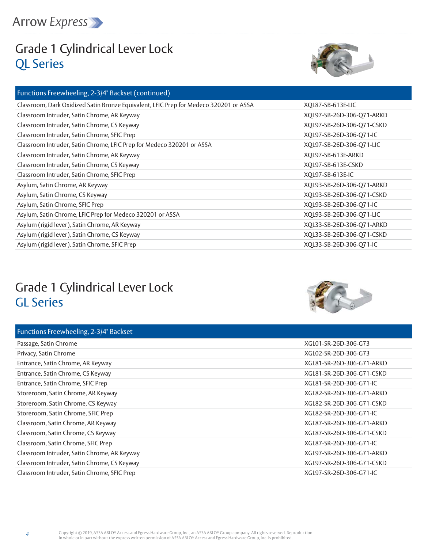

# Grade 1 Cylindrical Lever Lock QL Series



| $\frac{1}{2}$                                                                         |                           |
|---------------------------------------------------------------------------------------|---------------------------|
| Classroom, Dark Oxidized Satin Bronze Equivalent, LFIC Prep for Medeco 320201 or ASSA | XOL87-SB-613E-LIC         |
| Classroom Intruder, Satin Chrome, AR Keyway                                           | XQL97-SB-26D-306-Q71-ARKD |
| Classroom Intruder, Satin Chrome, CS Keyway                                           | XQL97-SB-26D-306-Q71-CSKD |
| Classroom Intruder, Satin Chrome, SFIC Prep                                           | XQL97-SB-26D-306-Q71-IC   |
| Classroom Intruder, Satin Chrome, LFIC Prep for Medeco 320201 or ASSA                 | XQL97-SB-26D-306-Q71-LIC  |
| Classroom Intruder, Satin Chrome, AR Keyway                                           | XQL97-SB-613E-ARKD        |
| Classroom Intruder, Satin Chrome, CS Keyway                                           | XQL97-SB-613E-CSKD        |
| Classroom Intruder, Satin Chrome, SFIC Prep                                           | XQL97-SB-613E-IC          |
| Asylum, Satin Chrome, AR Keyway                                                       | XQL93-SB-26D-306-Q71-ARKD |
| Asylum, Satin Chrome, CS Keyway                                                       | XQL93-SB-26D-306-Q71-CSKD |
| Asylum, Satin Chrome, SFIC Prep                                                       | XQL93-SB-26D-306-Q71-IC   |
| Asylum, Satin Chrome, LFIC Prep for Medeco 320201 or ASSA                             | XQL93-SB-26D-306-Q71-LIC  |
| Asylum (rigid lever), Satin Chrome, AR Keyway                                         | XQL33-SB-26D-306-Q71-ARKD |
| Asylum (rigid lever), Satin Chrome, CS Keyway                                         | XQL33-SB-26D-306-Q71-CSKD |
| Asylum (rigid lever), Satin Chrome, SFIC Prep                                         | XQL33-SB-26D-306-Q71-IC   |
|                                                                                       |                           |

# Grade 1 Cylindrical Lever Lock GL Series

| Functions Freewheeling, 2-3/4" Backset      |                           |
|---------------------------------------------|---------------------------|
| Passage, Satin Chrome                       | XGL01-SR-26D-306-G73      |
| Privacy, Satin Chrome                       | XGL02-SR-26D-306-G73      |
| Entrance, Satin Chrome, AR Keyway           | XGL81-SR-26D-306-G71-ARKD |
| Entrance, Satin Chrome, CS Keyway           | XGL81-SR-26D-306-G71-CSKD |
| Entrance, Satin Chrome, SFIC Prep           | XGL81-SR-26D-306-G71-IC   |
| Storeroom, Satin Chrome, AR Keyway          | XGL82-SR-26D-306-G71-ARKD |
| Storeroom, Satin Chrome, CS Keyway          | XGL82-SR-26D-306-G71-CSKD |
| Storeroom, Satin Chrome, SFIC Prep          | XGL82-SR-26D-306-G71-IC   |
| Classroom, Satin Chrome, AR Keyway          | XGL87-SR-26D-306-G71-ARKD |
| Classroom, Satin Chrome, CS Keyway          | XGL87-SR-26D-306-G71-CSKD |
| Classroom, Satin Chrome, SFIC Prep          | XGL87-SR-26D-306-G71-IC   |
| Classroom Intruder, Satin Chrome, AR Keyway | XGL97-SR-26D-306-G71-ARKD |
| Classroom Intruder, Satin Chrome, CS Keyway | XGL97-SR-26D-306-G71-CSKD |
| Classroom Intruder, Satin Chrome, SFIC Prep | XGL97-SR-26D-306-G71-IC   |

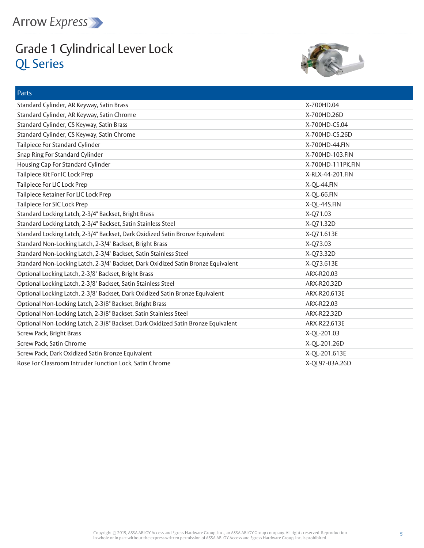

## Grade 1 Cylindrical Lever Lock QL Series



| Parts                                                                             |                   |
|-----------------------------------------------------------------------------------|-------------------|
| Standard Cylinder, AR Keyway, Satin Brass                                         | X-700HD.04        |
| Standard Cylinder, AR Keyway, Satin Chrome                                        | X-700HD.26D       |
| Standard Cylinder, CS Keyway, Satin Brass                                         | X-700HD-CS.04     |
| Standard Cylinder, CS Keyway, Satin Chrome                                        | X-700HD-CS.26D    |
| Tailpiece For Standard Cylinder                                                   | X-700HD-44.FIN    |
| Snap Ring For Standard Cylinder                                                   | X-700HD-103.FIN   |
| Housing Cap For Standard Cylinder                                                 | X-700HD-111PK.FIN |
| Tailpiece Kit For IC Lock Prep                                                    | X-RLX-44-201.FIN  |
| Tailpiece For LIC Lock Prep                                                       | X-QL-44.FIN       |
| Tailpiece Retainer For LIC Lock Prep                                              | X-QL-66.FIN       |
| Tailpiece For SIC Lock Prep                                                       | X-QL-44S.FIN      |
| Standard Locking Latch, 2-3/4" Backset, Bright Brass                              | X-Q71.03          |
| Standard Locking Latch, 2-3/4" Backset, Satin Stainless Steel                     | X-Q71.32D         |
| Standard Locking Latch, 2-3/4" Backset, Dark Oxidized Satin Bronze Equivalent     | X-Q71.613E        |
| Standard Non-Locking Latch, 2-3/4" Backset, Bright Brass                          | X-Q73.03          |
| Standard Non-Locking Latch, 2-3/4" Backset, Satin Stainless Steel                 | X-Q73.32D         |
| Standard Non-Locking Latch, 2-3/4" Backset, Dark Oxidized Satin Bronze Equivalent | X-Q73.613E        |
| Optional Locking Latch, 2-3/8" Backset, Bright Brass                              | ARX-R20.03        |
| Optional Locking Latch, 2-3/8" Backset, Satin Stainless Steel                     | ARX-R20.32D       |
| Optional Locking Latch, 2-3/8" Backset, Dark Oxidized Satin Bronze Equivalent     | ARX-R20.613E      |
| Optional Non-Locking Latch, 2-3/8" Backset, Bright Brass                          | ARX-R22.03        |
| Optional Non-Locking Latch, 2-3/8" Backset, Satin Stainless Steel                 | ARX-R22.32D       |
| Optional Non-Locking Latch, 2-3/8" Backset, Dark Oxidized Satin Bronze Equivalent | ARX-R22.613E      |
| Screw Pack, Bright Brass                                                          | X-QL-201.03       |
| Screw Pack, Satin Chrome                                                          | X-QL-201.26D      |
| Screw Pack, Dark Oxidized Satin Bronze Equivalent                                 | X-QL-201.613E     |
| Rose For Classroom Intruder Function Lock, Satin Chrome                           | X-QL97-03A.26D    |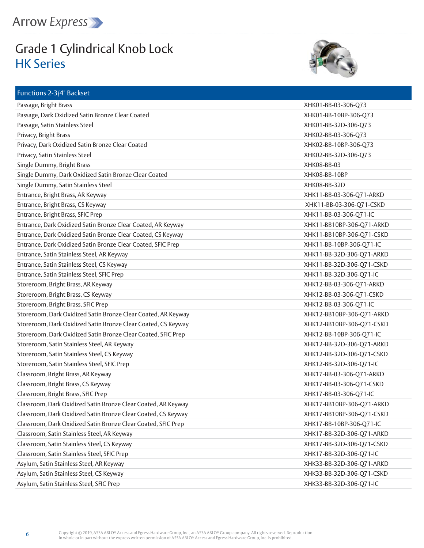## Grade 1 Cylindrical Knob Lock HK Series



| Functions 2-3/4" Backset                                      |                           |
|---------------------------------------------------------------|---------------------------|
| Passage, Bright Brass                                         | XHK01-BB-03-306-Q73       |
| Passage, Dark Oxidized Satin Bronze Clear Coated              | XHK01-BB-10BP-306-Q73     |
| Passage, Satin Stainless Steel                                | XHK01-BB-32D-306-Q73      |
| Privacy, Bright Brass                                         | XHK02-BB-03-306-Q73       |
| Privacy, Dark Oxidized Satin Bronze Clear Coated              | XHK02-BB-10BP-306-Q73     |
| Privacy, Satin Stainless Steel                                | XHK02-BB-32D-306-Q73      |
| Single Dummy, Bright Brass                                    | XHK08-BB-03               |
| Single Dummy, Dark Oxidized Satin Bronze Clear Coated         | XHK08-BB-10BP             |
| Single Dummy, Satin Stainless Steel                           | XHK08-BB-32D              |
| Entrance, Bright Brass, AR Keyway                             | XHK11-BB-03-306-Q71-ARKD  |
| Entrance, Bright Brass, CS Keyway                             | XHK11-BB-03-306-Q71-CSKD  |
| Entrance, Bright Brass, SFIC Prep                             | XHK11-BB-03-306-Q71-IC    |
| Entrance, Dark Oxidized Satin Bronze Clear Coated, AR Keyway  | XHK11-BB10BP-306-Q71-ARKD |
| Entrance, Dark Oxidized Satin Bronze Clear Coated, CS Keyway  | XHK11-BB10BP-306-Q71-CSKD |
| Entrance, Dark Oxidized Satin Bronze Clear Coated, SFIC Prep  | XHK11-BB-10BP-306-Q71-IC  |
| Entrance, Satin Stainless Steel, AR Keyway                    | XHK11-BB-32D-306-Q71-ARKD |
| Entrance, Satin Stainless Steel, CS Keyway                    | XHK11-BB-32D-306-Q71-CSKD |
| Entrance, Satin Stainless Steel, SFIC Prep                    | XHK11-BB-32D-306-Q71-IC   |
| Storeroom, Bright Brass, AR Keyway                            | XHK12-BB-03-306-Q71-ARKD  |
| Storeroom, Bright Brass, CS Keyway                            | XHK12-BB-03-306-Q71-CSKD  |
| Storeroom, Bright Brass, SFIC Prep                            | XHK12-BB-03-306-Q71-IC    |
| Storeroom, Dark Oxidized Satin Bronze Clear Coated, AR Keyway | XHK12-BB10BP-306-Q71-ARKD |
| Storeroom, Dark Oxidized Satin Bronze Clear Coated, CS Keyway | XHK12-BB10BP-306-Q71-CSKD |
| Storeroom, Dark Oxidized Satin Bronze Clear Coated, SFIC Prep | XHK12-BB-10BP-306-Q71-IC  |
| Storeroom, Satin Stainless Steel, AR Keyway                   | XHK12-BB-32D-306-Q71-ARKD |
| Storeroom, Satin Stainless Steel, CS Keyway                   | XHK12-BB-32D-306-Q71-CSKD |
| Storeroom, Satin Stainless Steel, SFIC Prep                   | XHK12-BB-32D-306-Q71-IC   |
| Classroom, Bright Brass, AR Keyway                            | XHK17-BB-03-306-Q71-ARKD  |
| Classroom, Bright Brass, CS Keyway                            | XHK17-BB-03-306-Q71-CSKD  |
| Classroom, Bright Brass, SFIC Prep                            | XHK17-BB-03-306-Q71-IC    |
| Classroom, Dark Oxidized Satin Bronze Clear Coated, AR Keyway | XHK17-BB10BP-306-Q71-ARKD |
| Classroom, Dark Oxidized Satin Bronze Clear Coated, CS Keyway | XHK17-BB10BP-306-Q71-CSKD |
| Classroom, Dark Oxidized Satin Bronze Clear Coated, SFIC Prep | XHK17-BB-10BP-306-Q71-IC  |
| Classroom, Satin Stainless Steel, AR Keyway                   | XHK17-BB-32D-306-Q71-ARKD |
| Classroom, Satin Stainless Steel, CS Keyway                   | XHK17-BB-32D-306-Q71-CSKD |
| Classroom, Satin Stainless Steel, SFIC Prep                   | XHK17-BB-32D-306-Q71-IC   |
| Asylum, Satin Stainless Steel, AR Keyway                      | XHK33-BB-32D-306-Q71-ARKD |
| Asylum, Satin Stainless Steel, CS Keyway                      | XHK33-BB-32D-306-Q71-CSKD |
| Asylum, Satin Stainless Steel, SFIC Prep                      | XHK33-BB-32D-306-Q71-IC   |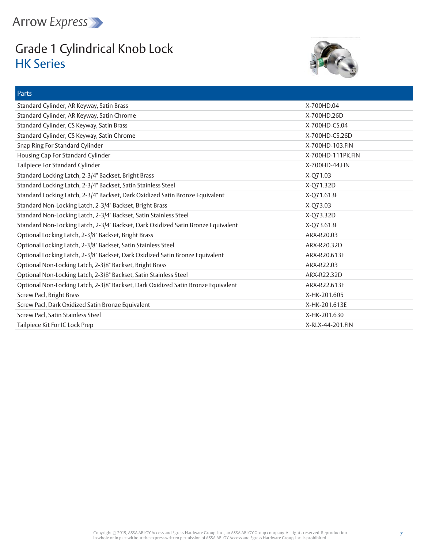## Grade 1 Cylindrical Knob Lock HK Series



| Parts                                                                             |                   |
|-----------------------------------------------------------------------------------|-------------------|
| Standard Cylinder, AR Keyway, Satin Brass                                         | X-700HD.04        |
| Standard Cylinder, AR Keyway, Satin Chrome                                        | X-700HD.26D       |
| Standard Cylinder, CS Keyway, Satin Brass                                         | X-700HD-CS.04     |
| Standard Cylinder, CS Keyway, Satin Chrome                                        | X-700HD-CS.26D    |
| Snap Ring For Standard Cylinder                                                   | X-700HD-103.FIN   |
| Housing Cap For Standard Cylinder                                                 | X-700HD-111PK.FIN |
| Tailpiece For Standard Cylinder                                                   | X-700HD-44.FIN    |
| Standard Locking Latch, 2-3/4" Backset, Bright Brass                              | X-Q71.03          |
| Standard Locking Latch, 2-3/4" Backset, Satin Stainless Steel                     | X-Q71.32D         |
| Standard Locking Latch, 2-3/4" Backset, Dark Oxidized Satin Bronze Equivalent     | X-Q71.613E        |
| Standard Non-Locking Latch, 2-3/4" Backset, Bright Brass                          | X-Q73.03          |
| Standard Non-Locking Latch, 2-3/4" Backset, Satin Stainless Steel                 | X-Q73.32D         |
| Standard Non-Locking Latch, 2-3/4" Backset, Dark Oxidized Satin Bronze Equivalent | X-Q73.613E        |
| Optional Locking Latch, 2-3/8" Backset, Bright Brass                              | ARX-R20.03        |
| Optional Locking Latch, 2-3/8" Backset, Satin Stainless Steel                     | ARX-R20.32D       |
| Optional Locking Latch, 2-3/8" Backset, Dark Oxidized Satin Bronze Equivalent     | ARX-R20.613E      |
| Optional Non-Locking Latch, 2-3/8" Backset, Bright Brass                          | ARX-R22.03        |
| Optional Non-Locking Latch, 2-3/8" Backset, Satin Stainless Steel                 | ARX-R22.32D       |
| Optional Non-Locking Latch, 2-3/8" Backset, Dark Oxidized Satin Bronze Equivalent | ARX-R22.613E      |
| Screw Pacl, Bright Brass                                                          | X-HK-201.605      |
| Screw Pacl, Dark Oxidized Satin Bronze Equivalent                                 | X-HK-201.613E     |
| Screw Pacl, Satin Stainless Steel                                                 | X-HK-201.630      |
| Tailpiece Kit For IC Lock Prep                                                    | X-RLX-44-201.FIN  |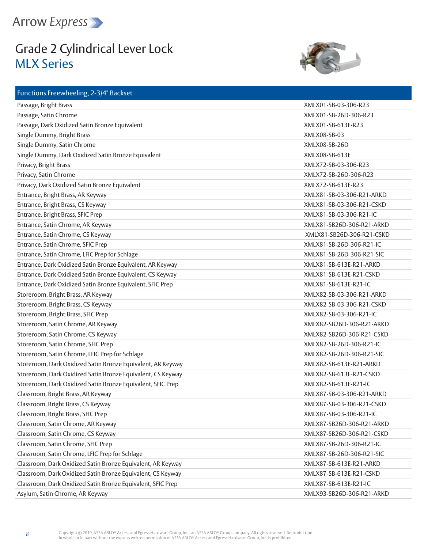

## Grade 2 Cylindrical Lever Lock MLX Series



| <b>Functions Freewheeling, 2-3/4" Backset</b>               |                           |
|-------------------------------------------------------------|---------------------------|
| Passage, Bright Brass                                       | XMLX01-SB-03-306-R23      |
| Passage, Satin Chrome                                       | XMLX01-SB-26D-306-R23     |
| Passage, Dark Oxidized Satin Bronze Equivalent              | XMLX01-SB-613E-R23        |
| Single Dummy, Bright Brass                                  | XMLX08-SB-03              |
| Single Dummy, Satin Chrome                                  | XMLX08-SB-26D             |
| Single Dummy, Dark Oxidized Satin Bronze Equivalent         | XMLX08-SB-613E            |
| Privacy, Bright Brass                                       | XMLX72-SB-03-306-R23      |
| Privacy, Satin Chrome                                       | XMLX72-SB-26D-306-R23     |
| Privacy, Dark Oxidized Satin Bronze Equivalent              | XMLX72-SB-613E-R23        |
| Entrance, Bright Brass, AR Keyway                           | XMLX81-SB-03-306-R21-ARKD |
| Entrance, Bright Brass, CS Keyway                           | XMLX81-SB-03-306-R21-CSKD |
| Entrance, Bright Brass, SFIC Prep                           | XMLX81-SB-03-306-R21-IC   |
| Entrance, Satin Chrome, AR Keyway                           | XMLX81-SB26D-306-R21-ARKD |
| Entrance, Satin Chrome, CS Keyway                           | XMLX81-SB26D-306-R21-CSKD |
| Entrance, Satin Chrome, SFIC Prep                           | XMLX81-SB-26D-306-R21-IC  |
| Entrance, Satin Chrome, LFIC Prep for Schlage               | XMLX81-SB-26D-306-R21-SIC |
| Entrance, Dark Oxidized Satin Bronze Equivalent, AR Keyway  | XMLX81-SB-613E-R21-ARKD   |
| Entrance, Dark Oxidized Satin Bronze Equivalent, CS Keyway  | XMLX81-SB-613E-R21-CSKD   |
| Entrance, Dark Oxidized Satin Bronze Equivalent, SFIC Prep  | XMLX81-SB-613E-R21-IC     |
| Storeroom, Bright Brass, AR Keyway                          | XMLX82-SB-03-306-R21-ARKD |
| Storeroom, Bright Brass, CS Keyway                          | XMLX82-SB-03-306-R21-CSKD |
| Storeroom, Bright Brass, SFIC Prep                          | XMLX82-SB-03-306-R21-IC   |
| Storeroom, Satin Chrome, AR Keyway                          | XMLX82-SB26D-306-R21-ARKD |
| Storeroom, Satin Chrome, CS Keyway                          | XMLX82-SB26D-306-R21-CSKD |
| Storeroom, Satin Chrome, SFIC Prep                          | XMLX82-SB-26D-306-R21-IC  |
| Storeroom, Satin Chrome, LFIC Prep for Schlage              | XMLX82-SB-26D-306-R21-SIC |
| Storeroom, Dark Oxidized Satin Bronze Equivalent, AR Keyway | XMLX82-SB-613E-R21-ARKD   |
| Storeroom, Dark Oxidized Satin Bronze Equivalent, CS Keyway | XMLX82-SB-613E-R21-CSKD   |
| Storeroom, Dark Oxidized Satin Bronze Equivalent, SFIC Prep | XMLX82-SB-613E-R21-IC     |
| Classroom, Bright Brass, AR Keyway                          | XMLX87-SB-03-306-R21-ARKD |
| Classroom, Bright Brass, CS Keyway                          | XMLX87-SB-03-306-R21-CSKD |
| Classroom, Bright Brass, SFIC Prep                          | XMLX87-SB-03-306-R21-IC   |
| Classroom, Satin Chrome, AR Keyway                          | XMLX87-SB26D-306-R21-ARKD |
| Classroom, Satin Chrome, CS Keyway                          | XMLX87-SB26D-306-R21-CSKD |
| Classroom, Satin Chrome, SFIC Prep                          | XMLX87-SB-26D-306-R21-IC  |
| Classroom, Satin Chrome, LFIC Prep for Schlage              | XMLX87-SB-26D-306-R21-SIC |
| Classroom, Dark Oxidized Satin Bronze Equivalent, AR Keyway | XMLX87-SB-613E-R21-ARKD   |
| Classroom, Dark Oxidized Satin Bronze Equivalent, CS Keyway | XMLX87-SB-613E-R21-CSKD   |
| Classroom, Dark Oxidized Satin Bronze Equivalent, SFIC Prep | XMLX87-SB-613E-R21-IC     |
| Asylum, Satin Chrome, AR Keyway                             | XMLX93-SB26D-306-R21-ARKD |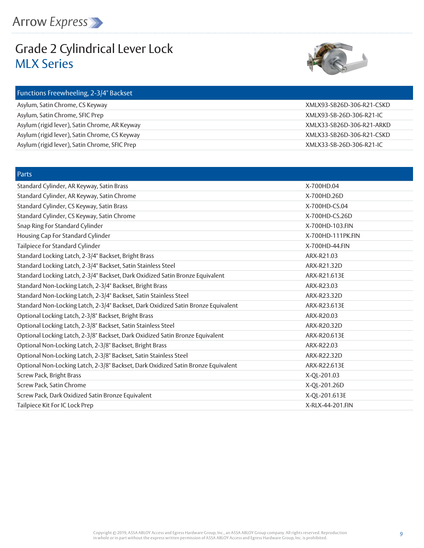

## Grade 2 Cylindrical Lever Lock MLX Series



| Functions Freewheeling, 2-3/4" Backset        |                           |
|-----------------------------------------------|---------------------------|
| Asylum, Satin Chrome, CS Keyway               | XMLX93-SB26D-306-R21-CSKD |
| Asylum, Satin Chrome, SFIC Prep               | XMLX93-SB-26D-306-R21-IC  |
| Asylum (rigid lever), Satin Chrome, AR Keyway | XMLX33-SB26D-306-R21-ARKD |
| Asylum (rigid lever), Satin Chrome, CS Keyway | XMLX33-SB26D-306-R21-CSKD |
| Asylum (rigid lever), Satin Chrome, SFIC Prep | XMLX33-SB-26D-306-R21-IC  |

| Parts                                                                             |                   |
|-----------------------------------------------------------------------------------|-------------------|
| Standard Cylinder, AR Keyway, Satin Brass                                         | X-700HD.04        |
| Standard Cylinder, AR Keyway, Satin Chrome                                        | X-700HD.26D       |
| Standard Cylinder, CS Keyway, Satin Brass                                         | X-700HD-CS.04     |
| Standard Cylinder, CS Keyway, Satin Chrome                                        | X-700HD-CS.26D    |
| Snap Ring For Standard Cylinder                                                   | X-700HD-103.FIN   |
| Housing Cap For Standard Cylinder                                                 | X-700HD-111PK.FIN |
| Tailpiece For Standard Cylinder                                                   | X-700HD-44.FIN    |
| Standard Locking Latch, 2-3/4" Backset, Bright Brass                              | ARX-R21.03        |
| Standard Locking Latch, 2-3/4" Backset, Satin Stainless Steel                     | ARX-R21.32D       |
| Standard Locking Latch, 2-3/4" Backset, Dark Oxidized Satin Bronze Equivalent     | ARX-R21.613E      |
| Standard Non-Locking Latch, 2-3/4" Backset, Bright Brass                          | ARX-R23.03        |
| Standard Non-Locking Latch, 2-3/4" Backset, Satin Stainless Steel                 | ARX-R23.32D       |
| Standard Non-Locking Latch, 2-3/4" Backset, Dark Oxidized Satin Bronze Equivalent | ARX-R23.613E      |
| Optional Locking Latch, 2-3/8" Backset, Bright Brass                              | ARX-R20.03        |
| Optional Locking Latch, 2-3/8" Backset, Satin Stainless Steel                     | ARX-R20.32D       |
| Optional Locking Latch, 2-3/8" Backset, Dark Oxidized Satin Bronze Equivalent     | ARX-R20.613E      |
| Optional Non-Locking Latch, 2-3/8" Backset, Bright Brass                          | ARX-R22.03        |
| Optional Non-Locking Latch, 2-3/8" Backset, Satin Stainless Steel                 | ARX-R22.32D       |
| Optional Non-Locking Latch, 2-3/8" Backset, Dark Oxidized Satin Bronze Equivalent | ARX-R22.613E      |
| Screw Pack, Bright Brass                                                          | X-QL-201.03       |
| Screw Pack, Satin Chrome                                                          | X-QL-201.26D      |
| Screw Pack, Dark Oxidized Satin Bronze Equivalent                                 | X-QL-201.613E     |
| Tailpiece Kit For IC Lock Prep                                                    | X-RLX-44-201.FIN  |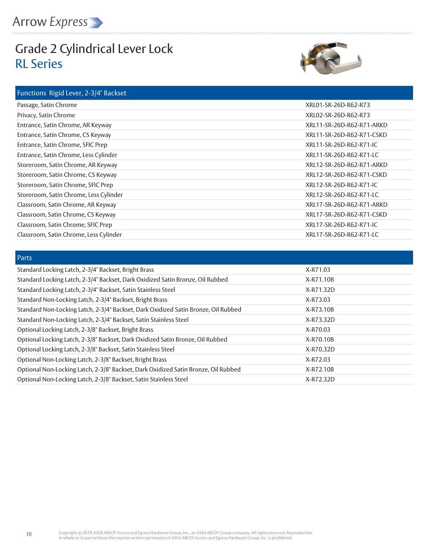

## Grade 2 Cylindrical Lever Lock RL Series

Functions Rigid Lever, 2-3/4" Backset



| $\lceil$ FUIICLIOHS KIGIU LEVEI, 2-3/4 DOCKSEL |                           |
|------------------------------------------------|---------------------------|
| Passage, Satin Chrome                          | XRL01-SR-26D-R62-R73      |
| Privacy, Satin Chrome                          | XRL02-SR-26D-R62-R73      |
| Entrance, Satin Chrome, AR Keyway              | XRL11-SR-26D-R62-R71-ARKD |
| Entrance, Satin Chrome, CS Keyway              | XRL11-SR-26D-R62-R71-CSKD |
| Entrance, Satin Chrome, SFIC Prep              | XRL11-SR-26D-R62-R71-IC   |
| Entrance, Satin Chrome, Less Cylinder          | XRL11-SR-26D-R62-R71-LC   |
| Storeroom, Satin Chrome, AR Keyway             | XRL12-SR-26D-R62-R71-ARKD |
| Storeroom, Satin Chrome, CS Keyway             | XRL12-SR-26D-R62-R71-CSKD |
| Storeroom, Satin Chrome, SFIC Prep             | XRL12-SR-26D-R62-R71-IC   |
| Storeroom, Satin Chrome, Less Cylinder         | XRL12-SR-26D-R62-R71-LC   |
| Classroom, Satin Chrome, AR Keyway             | XRL17-SR-26D-R62-R71-ARKD |
| Classroom, Satin Chrome, CS Keyway             | XRL17-SR-26D-R62-R71-CSKD |
| Classroom, Satin Chrome, SFIC Prep             | XRL17-SR-26D-R62-R71-IC   |
| Classroom, Satin Chrome, Less Cylinder         | XRL17-SR-26D-R62-R71-LC   |

#### Parts Standard Locking Latch, 2-3/4" Backset, Bright Brass X-R71.03 Standard Locking Latch, 2-3/4" Backset, Dark Oxidized Satin Bronze, Oil Rubbed X-R71.10B Standard Locking Latch, 2-3/4" Backset, Satin Stainless Steel X-R71.32D Standard Non-Locking Latch, 2-3/4" Backset, Bright Brass **X-R73.03** X-R73.03 Standard Non-Locking Latch, 2-3/4" Backset, Dark Oxidized Satin Bronze, Oil Rubbed X-R73.10B Standard Non-Locking Latch, 2-3/4" Backset, Satin Stainless Steel X-R73.32D Optional Locking Latch, 2-3/8" Backset, Bright Brass X-R70.03 Optional Locking Latch, 2-3/8" Backset, Dark Oxidized Satin Bronze, Oil Rubbed X-R70.10B Optional Locking Latch, 2-3/8" Backset, Satin Stainless Steel X-R70.32D Optional Non-Locking Latch, 2-3/8" Backset, Bright Brass X-R72.03 Optional Non-Locking Latch, 2-3/8" Backset, Dark Oxidized Satin Bronze, Oil Rubbed X-R72.10B Optional Non-Locking Latch, 2-3/8" Backset, Satin Stainless Steel X-R72.32D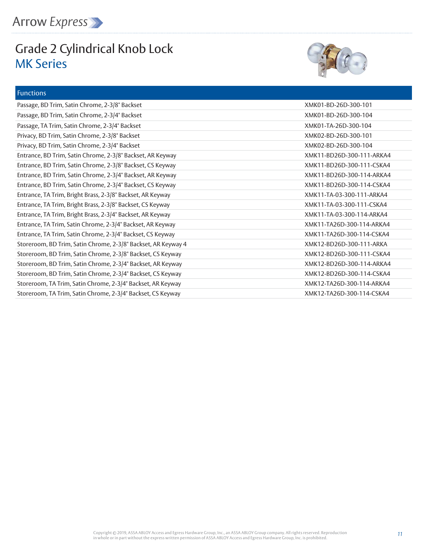Functions

## Grade 2 Cylindrical Knob Lock MK Series



| <u>runcuons</u>                                               |                           |
|---------------------------------------------------------------|---------------------------|
| Passage, BD Trim, Satin Chrome, 2-3/8" Backset                | XMK01-BD-26D-300-101      |
| Passage, BD Trim, Satin Chrome, 2-3/4" Backset                | XMK01-BD-26D-300-104      |
| Passage, TA Trim, Satin Chrome, 2-3/4" Backset                | XMK01-TA-26D-300-104      |
| Privacy, BD Trim, Satin Chrome, 2-3/8" Backset                | XMK02-BD-26D-300-101      |
| Privacy, BD Trim, Satin Chrome, 2-3/4" Backset                | XMK02-BD-26D-300-104      |
| Entrance, BD Trim, Satin Chrome, 2-3/8" Backset, AR Keyway    | XMK11-BD26D-300-111-ARKA4 |
| Entrance, BD Trim, Satin Chrome, 2-3/8" Backset, CS Keyway    | XMK11-BD26D-300-111-CSKA4 |
| Entrance, BD Trim, Satin Chrome, 2-3/4" Backset, AR Keyway    | XMK11-BD26D-300-114-ARKA4 |
| Entrance, BD Trim, Satin Chrome, 2-3/4" Backset, CS Keyway    | XMK11-BD26D-300-114-CSKA4 |
| Entrance, TA Trim, Bright Brass, 2-3/8" Backset, AR Keyway    | XMK11-TA-03-300-111-ARKA4 |
| Entrance, TA Trim, Bright Brass, 2-3/8" Backset, CS Keyway    | XMK11-TA-03-300-111-CSKA4 |
| Entrance, TA Trim, Bright Brass, 2-3/4" Backset, AR Keyway    | XMK11-TA-03-300-114-ARKA4 |
| Entrance, TA Trim, Satin Chrome, 2-3/4" Backset, AR Keyway    | XMK11-TA26D-300-114-ARKA4 |
| Entrance, TA Trim, Satin Chrome, 2-3/4" Backset, CS Keyway    | XMK11-TA26D-300-114-CSKA4 |
| Storeroom, BD Trim, Satin Chrome, 2-3/8" Backset, AR Keyway 4 | XMK12-BD26D-300-111-ARKA  |
| Storeroom, BD Trim, Satin Chrome, 2-3/8" Backset, CS Keyway   | XMK12-BD26D-300-111-CSKA4 |
| Storeroom, BD Trim, Satin Chrome, 2-3/4" Backset, AR Keyway   | XMK12-BD26D-300-114-ARKA4 |
| Storeroom, BD Trim, Satin Chrome, 2-3/4" Backset, CS Keyway   | XMK12-BD26D-300-114-CSKA4 |
| Storeroom, TA Trim, Satin Chrome, 2-3/4" Backset, AR Keyway   | XMK12-TA26D-300-114-ARKA4 |
| Storeroom, TA Trim, Satin Chrome, 2-3/4" Backset, CS Keyway   | XMK12-TA26D-300-114-CSKA4 |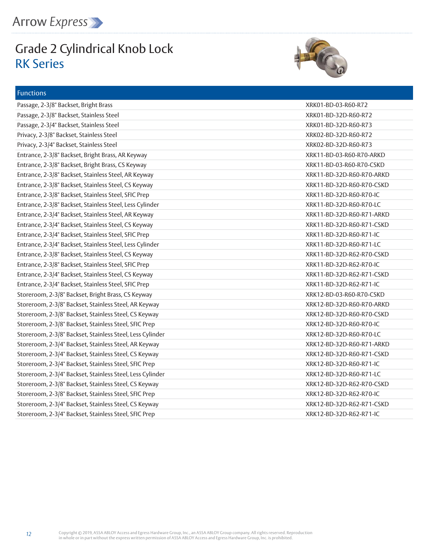Functions

# Grade 2 Cylindrical Knob Lock RK Series



| Passage, 2-3/8" Backset, Bright Brass                     | XRK01-BD-03-R60-R72       |
|-----------------------------------------------------------|---------------------------|
| Passage, 2-3/8" Backset, Stainless Steel                  | XRK01-BD-32D-R60-R72      |
| Passage, 2-3/4" Backset, Stainless Steel                  | XRK01-BD-32D-R60-R73      |
| Privacy, 2-3/8" Backset, Stainless Steel                  | XRK02-BD-32D-R60-R72      |
| Privacy, 2-3/4" Backset, Stainless Steel                  | XRK02-BD-32D-R60-R73      |
| Entrance, 2-3/8" Backset, Bright Brass, AR Keyway         | XRK11-BD-03-R60-R70-ARKD  |
| Entrance, 2-3/8" Backset, Bright Brass, CS Keyway         | XRK11-BD-03-R60-R70-CSKD  |
| Entrance, 2-3/8" Backset, Stainless Steel, AR Keyway      | XRK11-BD-32D-R60-R70-ARKD |
| Entrance, 2-3/8" Backset, Stainless Steel, CS Keyway      | XRK11-BD-32D-R60-R70-CSKD |
| Entrance, 2-3/8" Backset, Stainless Steel, SFIC Prep      | XRK11-BD-32D-R60-R70-IC   |
| Entrance, 2-3/8" Backset, Stainless Steel, Less Cylinder  | XRK11-BD-32D-R60-R70-LC   |
| Entrance, 2-3/4" Backset, Stainless Steel, AR Keyway      | XRK11-BD-32D-R60-R71-ARKD |
| Entrance, 2-3/4" Backset, Stainless Steel, CS Keyway      | XRK11-BD-32D-R60-R71-CSKD |
| Entrance, 2-3/4" Backset, Stainless Steel, SFIC Prep      | XRK11-BD-32D-R60-R71-IC   |
| Entrance, 2-3/4" Backset, Stainless Steel, Less Cylinder  | XRK11-BD-32D-R60-R71-LC   |
| Entrance, 2-3/8" Backset, Stainless Steel, CS Keyway      | XRK11-BD-32D-R62-R70-CSKD |
| Entrance, 2-3/8" Backset, Stainless Steel, SFIC Prep      | XRK11-BD-32D-R62-R70-IC   |
| Entrance, 2-3/4" Backset, Stainless Steel, CS Keyway      | XRK11-BD-32D-R62-R71-CSKD |
| Entrance, 2-3/4" Backset, Stainless Steel, SFIC Prep      | XRK11-BD-32D-R62-R71-IC   |
| Storeroom, 2-3/8" Backset, Bright Brass, CS Keyway        | XRK12-BD-03-R60-R70-CSKD  |
| Storeroom, 2-3/8" Backset, Stainless Steel, AR Keyway     | XRK12-BD-32D-R60-R70-ARKD |
| Storeroom, 2-3/8" Backset, Stainless Steel, CS Keyway     | XRK12-BD-32D-R60-R70-CSKD |
| Storeroom, 2-3/8" Backset, Stainless Steel, SFIC Prep     | XRK12-BD-32D-R60-R70-IC   |
| Storeroom, 2-3/8" Backset, Stainless Steel, Less Cylinder | XRK12-BD-32D-R60-R70-LC   |
| Storeroom, 2-3/4" Backset, Stainless Steel, AR Keyway     | XRK12-BD-32D-R60-R71-ARKD |
| Storeroom, 2-3/4" Backset, Stainless Steel, CS Keyway     | XRK12-BD-32D-R60-R71-CSKD |
| Storeroom, 2-3/4" Backset, Stainless Steel, SFIC Prep     | XRK12-BD-32D-R60-R71-IC   |
| Storeroom, 2-3/4" Backset, Stainless Steel, Less Cylinder | XRK12-BD-32D-R60-R71-LC   |
| Storeroom, 2-3/8" Backset, Stainless Steel, CS Keyway     | XRK12-BD-32D-R62-R70-CSKD |
| Storeroom, 2-3/8" Backset, Stainless Steel, SFIC Prep     | XRK12-BD-32D-R62-R70-IC   |
| Storeroom, 2-3/4" Backset, Stainless Steel, CS Keyway     | XRK12-BD-32D-R62-R71-CSKD |
| Storeroom, 2-3/4" Backset, Stainless Steel, SFIC Prep     | XRK12-BD-32D-R62-R71-IC   |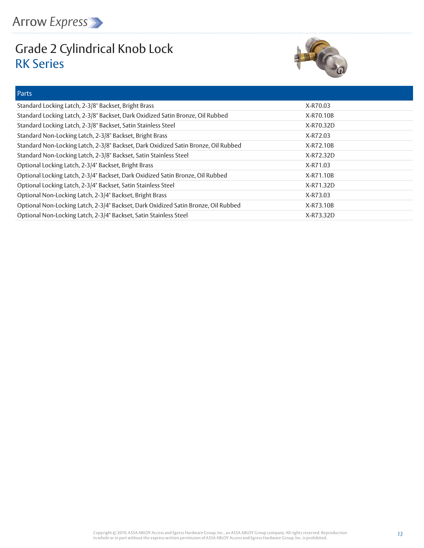

## Grade 2 Cylindrical Knob Lock RK Series



| Parts                                                                              |           |
|------------------------------------------------------------------------------------|-----------|
| Standard Locking Latch, 2-3/8" Backset, Bright Brass                               | X-R70.03  |
| Standard Locking Latch, 2-3/8" Backset, Dark Oxidized Satin Bronze, Oil Rubbed     | X-R70.10B |
| Standard Locking Latch, 2-3/8" Backset, Satin Stainless Steel                      | X-R70.32D |
| Standard Non-Locking Latch, 2-3/8" Backset, Bright Brass                           | X-R72.03  |
| Standard Non-Locking Latch, 2-3/8" Backset, Dark Oxidized Satin Bronze, Oil Rubbed | X-R72.10B |
| Standard Non-Locking Latch, 2-3/8" Backset, Satin Stainless Steel                  | X-R72.32D |
| Optional Locking Latch, 2-3/4" Backset, Bright Brass                               | X-R71.03  |
| Optional Locking Latch, 2-3/4" Backset, Dark Oxidized Satin Bronze, Oil Rubbed     | X-R71.10B |
| Optional Locking Latch, 2-3/4" Backset, Satin Stainless Steel                      | X-R71.32D |
| Optional Non-Locking Latch, 2-3/4" Backset, Bright Brass                           | X-R73.03  |
| Optional Non-Locking Latch, 2-3/4" Backset, Dark Oxidized Satin Bronze, Oil Rubbed | X-R73.10B |
| Optional Non-Locking Latch, 2-3/4" Backset, Satin Stainless Steel                  | X-R73.32D |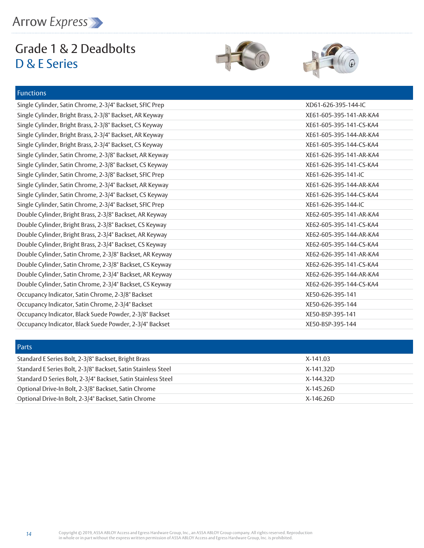Functions

### Grade 1 & 2 Deadbolts D & E Series





#### Single Cylinder, Satin Chrome, 2-3/4" Backset, SFIC Prep XD61-626-395-144-IC Single Cylinder, Bright Brass, 2-3/8" Backset, AR Keyway XE61-605-395-141-AR-KA4 Single Cylinder, Bright Brass, 2-3/8" Backset, CS Keyway XE61-605-395-141-CS-KA4 Single Cylinder, Bright Brass, 2-3/4" Backset, AR Keyway XE61-605-395-144-AR-KA4 Single Cylinder, Bright Brass, 2-3/4" Backset, CS Keyway XE61-605-395-144-CS-KA4 Single Cylinder, Satin Chrome, 2-3/8" Backset, AR Keyway XE61-626-395-141-AR-KA4 Single Cylinder, Satin Chrome, 2-3/8" Backset, CS Keyway XE61-626-395-141-CS-KA4 Single Cylinder, Satin Chrome, 2-3/8" Backset, SFIC Prep Xector Xector Xe61-626-395-141-IC Single Cylinder, Satin Chrome, 2-3/4" Backset, AR Keyway XE61-626-395-144-AR-KA4 Single Cylinder, Satin Chrome, 2-3/4" Backset, CS Keyway XE61-626-395-144-CS-KA4 Single Cylinder, Satin Chrome, 2-3/4" Backset, SFIC Prep Xector Xector Xector XE61-626-395-144-IC Double Cylinder, Bright Brass, 2-3/8" Backset, AR Keyway XE62-605-395-141-AR-KA4 Double Cylinder, Bright Brass, 2-3/8" Backset, CS Keyway XE62-605-395-141-CS-KA4 Double Cylinder, Bright Brass, 2-3/4" Backset, AR Keyway XE62-605-395-144-AR-KA4 Double Cylinder, Bright Brass, 2-3/4" Backset, CS Keyway XE62-605-395-144-CS-KA4 Double Cylinder, Satin Chrome, 2-3/8" Backset, AR Keyway XE62-626-395-141-AR-KA4 Double Cylinder, Satin Chrome, 2-3/8" Backset, CS Keyway XE62-626-395-141-CS-KA4 Double Cylinder, Satin Chrome, 2-3/4" Backset, AR Keyway XE62-626-395-144-AR-KA4 Double Cylinder, Satin Chrome, 2-3/4" Backset, CS Keyway XE62-626-395-144-CS-KA4 Occupancy Indicator, Satin Chrome, 2-3/8" Backset XES0-626-395-141 Occupancy Indicator, Satin Chrome, 2-3/4" Backset XES0-626-395-144 Occupancy Indicator, Black Suede Powder, 2-3/8" Backset XE50-BSP-395-141 Occupancy Indicator, Black Suede Powder, 2-3/4" Backset XESO-BSP-395-144

| <b>Parts</b>                                                  |            |
|---------------------------------------------------------------|------------|
| Standard E Series Bolt, 2-3/8" Backset, Bright Brass          | $X-141.03$ |
| Standard E Series Bolt, 2-3/8" Backset, Satin Stainless Steel | X-141.32D  |
| Standard D Series Bolt, 2-3/4" Backset, Satin Stainless Steel | X-144.32D  |
| Optional Drive-In Bolt, 2-3/8" Backset, Satin Chrome          | X-145.26D  |
| Optional Drive-In Bolt, 2-3/4" Backset, Satin Chrome          | X-146.26D  |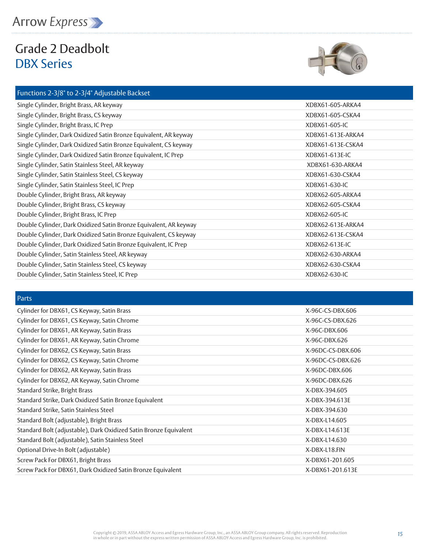

# Grade 2 Deadbolt DBX Series



| Functions 2-3/8" to 2-3/4" Adjustable Backset                     |                   |
|-------------------------------------------------------------------|-------------------|
| Single Cylinder, Bright Brass, AR keyway                          | XDBX61-605-ARKA4  |
| Single Cylinder, Bright Brass, CS keyway                          | XDBX61-605-CSKA4  |
| Single Cylinder, Bright Brass, IC Prep                            | XDBX61-605-IC     |
| Single Cylinder, Dark Oxidized Satin Bronze Equivalent, AR keyway | XDBX61-613E-ARKA4 |
| Single Cylinder, Dark Oxidized Satin Bronze Equivalent, CS keyway | XDBX61-613E-CSKA4 |
| Single Cylinder, Dark Oxidized Satin Bronze Equivalent, IC Prep   | XDBX61-613E-IC    |
| Single Cylinder, Satin Stainless Steel, AR keyway                 | XDBX61-630-ARKA4  |
| Single Cylinder, Satin Stainless Steel, CS keyway                 | XDBX61-630-CSKA4  |
| Single Cylinder, Satin Stainless Steel, IC Prep                   | XDBX61-630-IC     |
| Double Cylinder, Bright Brass, AR keyway                          | XDBX62-605-ARKA4  |
| Double Cylinder, Bright Brass, CS keyway                          | XDBX62-605-CSKA4  |
| Double Cylinder, Bright Brass, IC Prep                            | XDBX62-605-IC     |
| Double Cylinder, Dark Oxidized Satin Bronze Equivalent, AR keyway | XDBX62-613E-ARKA4 |
| Double Cylinder, Dark Oxidized Satin Bronze Equivalent, CS keyway | XDBX62-613E-CSKA4 |
| Double Cylinder, Dark Oxidized Satin Bronze Equivalent, IC Prep   | XDBX62-613E-IC    |
| Double Cylinder, Satin Stainless Steel, AR keyway                 | XDBX62-630-ARKA4  |
| Double Cylinder, Satin Stainless Steel, CS keyway                 | XDBX62-630-CSKA4  |
| Double Cylinder, Satin Stainless Steel, IC Prep                   | XDBX62-630-IC     |

#### Parts

| X-96C-CS-DBX.606  |
|-------------------|
| X-96C-CS-DBX.626  |
| X-96C-DBX.606     |
| X-96C-DBX.626     |
| X-96DC-CS-DBX.606 |
| X-96DC-CS-DBX.626 |
| X-96DC-DBX.606    |
| X-96DC-DBX.626    |
| X-DBX-394.605     |
| X-DBX-394.613E    |
| X-DBX-394.630     |
| X-DBX-L14.605     |
| X-DBX-L14.613E    |
| X-DBX-L14.630     |
| X-DBX-L18.FIN     |
| X-DBX61-201.605   |
| X-DBX61-201.613E  |
|                   |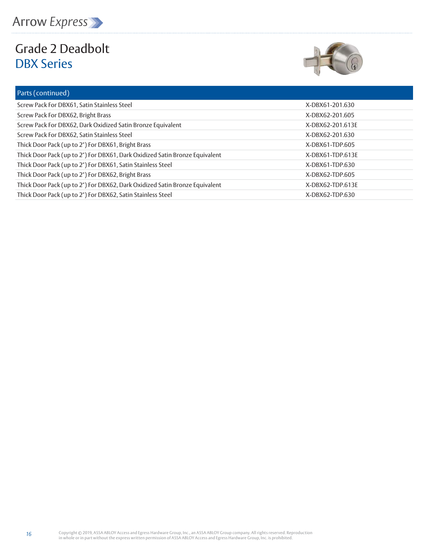

# Grade 2 Deadbolt DBX Series



| X-DBX61-201.630  |
|------------------|
| X-DBX62-201.605  |
| X-DBX62-201.613E |
| X-DBX62-201.630  |
| X-DBX61-TDP.605  |
| X-DBX61-TDP.613E |
| X-DBX61-TDP.630  |
| X-DBX62-TDP.605  |
| X-DBX62-TDP.613E |
| X-DBX62-TDP.630  |
|                  |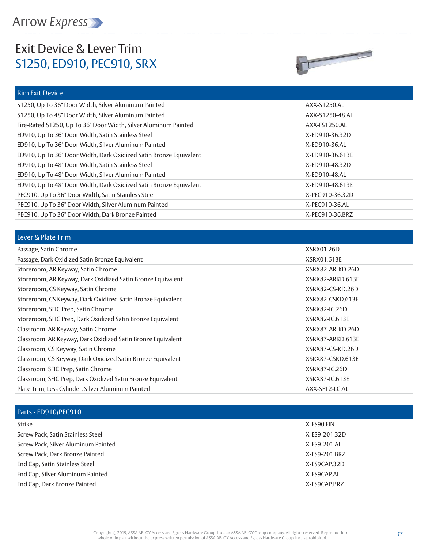# Exit Device & Lever Trim S1250, ED910, PEC910, SRX



| <b>Rim Exit Device</b>                                             |                 |
|--------------------------------------------------------------------|-----------------|
| S1250, Up To 36" Door Width, Silver Aluminum Painted               | AXX-S1250.AL    |
| S1250, Up To 48" Door Width, Silver Aluminum Painted               | AXX-S1250-48.AL |
| Fire-Rated S1250, Up To 36" Door Width, Silver Aluminum Painted    | AXX-FS1250.AL   |
| ED910, Up To 36" Door Width, Satin Stainless Steel                 | X-ED910-36.32D  |
| ED910, Up To 36" Door Width, Silver Aluminum Painted               | X-ED910-36.AL   |
| ED910, Up To 36" Door Width, Dark Oxidized Satin Bronze Equivalent | X-ED910-36.613E |
| ED910, Up To 48" Door Width, Satin Stainless Steel                 | X-ED910-48.32D  |
| ED910, Up To 48" Door Width, Silver Aluminum Painted               | X-ED910-48.AL   |
| ED910, Up To 48" Door Width, Dark Oxidized Satin Bronze Equivalent | X-ED910-48.613E |
| PEC910, Up To 36" Door Width, Satin Stainless Steel                | X-PEC910-36.32D |
| PEC910, Up To 36" Door Width, Silver Aluminum Painted              | X-PEC910-36.AL  |
| PEC910, Up To 36" Door Width, Dark Bronze Painted                  | X-PEC910-36.BRZ |

| Lever & Plate Trim                                          |                       |
|-------------------------------------------------------------|-----------------------|
| Passage, Satin Chrome                                       | XSRX01.26D            |
| Passage, Dark Oxidized Satin Bronze Equivalent              | XSRX01.613E           |
| Storeroom, AR Keyway, Satin Chrome                          | XSRX82-AR-KD.26D      |
| Storeroom, AR Keyway, Dark Oxidized Satin Bronze Equivalent | XSRX82-ARKD.613E      |
| Storeroom, CS Keyway, Satin Chrome                          | XSRX82-CS-KD.26D      |
| Storeroom, CS Keyway, Dark Oxidized Satin Bronze Equivalent | XSRX82-CSKD.613E      |
| Storeroom, SFIC Prep, Satin Chrome                          | <b>XSRX82-IC.26D</b>  |
| Storeroom, SFIC Prep, Dark Oxidized Satin Bronze Equivalent | XSRX82-IC.613E        |
| Classroom, AR Keyway, Satin Chrome                          | XSRX87-AR-KD.26D      |
| Classroom, AR Keyway, Dark Oxidized Satin Bronze Equivalent | XSRX87-ARKD.613E      |
| Classroom, CS Keyway, Satin Chrome                          | XSRX87-CS-KD.26D      |
| Classroom, CS Keyway, Dark Oxidized Satin Bronze Equivalent | XSRX87-CSKD.613E      |
| Classroom, SFIC Prep, Satin Chrome                          | <b>XSRX87-IC.26D</b>  |
| Classroom, SFIC Prep, Dark Oxidized Satin Bronze Equivalent | <b>XSRX87-IC.613E</b> |
| Plate Trim, Less Cylinder, Silver Aluminum Painted          | AXX-SF12-LC.AL        |

| Parts - ED910/PEC910                |               |
|-------------------------------------|---------------|
| Strike                              | X-ES90.FIN    |
| Screw Pack, Satin Stainless Steel   | X-ES9-201.32D |
| Screw Pack, Silver Aluminum Painted | X-ES9-201.AL  |
| Screw Pack, Dark Bronze Painted     | X-ES9-201.BRZ |
| End Cap, Satin Stainless Steel      | X-ES9CAP.32D  |
| End Cap, Silver Aluminum Painted    | X-ES9CAP.AL   |
| End Cap, Dark Bronze Painted        | X-ES9CAP.BRZ  |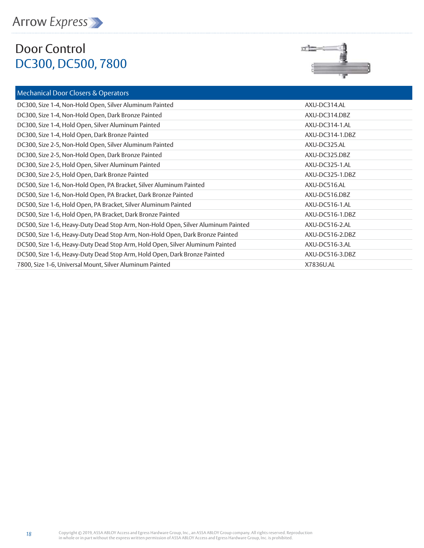

# Door Control DC300, DC500, 7800

#### mical Door Clo



| Mechanical DOOL Closels & Operators                                               |                 |
|-----------------------------------------------------------------------------------|-----------------|
| DC300, Size 1-4, Non-Hold Open, Silver Aluminum Painted                           | AXU-DC314.AL    |
| DC300, Size 1-4, Non-Hold Open, Dark Bronze Painted                               | AXU-DC314.DBZ   |
| DC300, Size 1-4, Hold Open, Silver Aluminum Painted                               | AXU-DC314-1.AL  |
| DC300, Size 1-4, Hold Open, Dark Bronze Painted                                   | AXU-DC314-1.DBZ |
| DC300, Size 2-5, Non-Hold Open, Silver Aluminum Painted                           | AXU-DC325.AL    |
| DC300, Size 2-5, Non-Hold Open, Dark Bronze Painted                               | AXU-DC325.DBZ   |
| DC300, Size 2-5, Hold Open, Silver Aluminum Painted                               | AXU-DC325-1.AL  |
| DC300, Size 2-5, Hold Open, Dark Bronze Painted                                   | AXU-DC325-1.DBZ |
| DC500, Size 1-6, Non-Hold Open, PA Bracket, Silver Aluminum Painted               | AXU-DC516.AL    |
| DC500, Size 1-6, Non-Hold Open, PA Bracket, Dark Bronze Painted                   | AXU-DC516.DBZ   |
| DC500, Size 1-6, Hold Open, PA Bracket, Silver Aluminum Painted                   | AXU-DC516-1.AL  |
| DC500, Size 1-6, Hold Open, PA Bracket, Dark Bronze Painted                       | AXU-DC516-1.DBZ |
| DC500, Size 1-6, Heavy-Duty Dead Stop Arm, Non-Hold Open, Silver Aluminum Painted | AXU-DC516-2.AL  |
| DC500, Size 1-6, Heavy-Duty Dead Stop Arm, Non-Hold Open, Dark Bronze Painted     | AXU-DC516-2.DBZ |
| DC500, Size 1-6, Heavy-Duty Dead Stop Arm, Hold Open, Silver Aluminum Painted     | AXU-DC516-3.AL  |
| DC500, Size 1-6, Heavy-Duty Dead Stop Arm, Hold Open, Dark Bronze Painted         | AXU-DC516-3.DBZ |
| 7800, Size 1-6, Universal Mount, Silver Aluminum Painted                          | X7836U.AL       |
|                                                                                   |                 |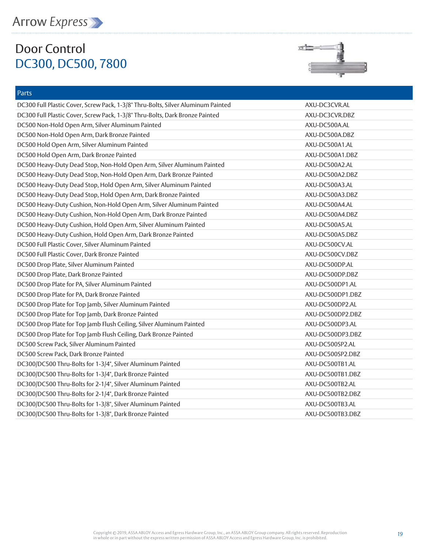

# Door Control DC300, DC500, 7800



| Parts                                                                            |                  |
|----------------------------------------------------------------------------------|------------------|
| DC300 Full Plastic Cover, Screw Pack, 1-3/8" Thru-Bolts, Silver Aluminum Painted | AXU-DC3CVR.AL    |
| DC300 Full Plastic Cover, Screw Pack, 1-3/8" Thru-Bolts, Dark Bronze Painted     | AXU-DC3CVR.DBZ   |
| DC500 Non-Hold Open Arm, Silver Aluminum Painted                                 | AXU-DC500A.AL    |
| DC500 Non-Hold Open Arm, Dark Bronze Painted                                     | AXU-DC500A.DBZ   |
| DC500 Hold Open Arm, Silver Aluminum Painted                                     | AXU-DC500A1.AL   |
| DC500 Hold Open Arm, Dark Bronze Painted                                         | AXU-DC500A1.DBZ  |
| DC500 Heavy-Duty Dead Stop, Non-Hold Open Arm, Silver Aluminum Painted           | AXU-DC500A2.AL   |
| DC500 Heavy-Duty Dead Stop, Non-Hold Open Arm, Dark Bronze Painted               | AXU-DC500A2.DBZ  |
| DC500 Heavy-Duty Dead Stop, Hold Open Arm, Silver Aluminum Painted               | AXU-DC500A3.AL   |
| DC500 Heavy-Duty Dead Stop, Hold Open Arm, Dark Bronze Painted                   | AXU-DC500A3.DBZ  |
| DC500 Heavy-Duty Cushion, Non-Hold Open Arm, Silver Aluminum Painted             | AXU-DC500A4.AL   |
| DC500 Heavy-Duty Cushion, Non-Hold Open Arm, Dark Bronze Painted                 | AXU-DC500A4.DBZ  |
| DC500 Heavy-Duty Cushion, Hold Open Arm, Silver Aluminum Painted                 | AXU-DC500A5.AL   |
| DC500 Heavy-Duty Cushion, Hold Open Arm, Dark Bronze Painted                     | AXU-DC500A5.DBZ  |
| DC500 Full Plastic Cover, Silver Aluminum Painted                                | AXU-DC500CV.AL   |
| DC500 Full Plastic Cover, Dark Bronze Painted                                    | AXU-DC500CV.DBZ  |
| DC500 Drop Plate, Silver Aluminum Painted                                        | AXU-DC500DP.AL   |
| DC500 Drop Plate, Dark Bronze Painted                                            | AXU-DC500DP.DBZ  |
| DC500 Drop Plate for PA, Silver Aluminum Painted                                 | AXU-DC500DP1.AL  |
| DC500 Drop Plate for PA, Dark Bronze Painted                                     | AXU-DC500DP1.DBZ |
| DC500 Drop Plate for Top Jamb, Silver Aluminum Painted                           | AXU-DC500DP2.AL  |
| DC500 Drop Plate for Top Jamb, Dark Bronze Painted                               | AXU-DC500DP2.DBZ |
| DC500 Drop Plate for Top Jamb Flush Ceiling, Silver Aluminum Painted             | AXU-DC500DP3.AL  |
| DC500 Drop Plate for Top Jamb Flush Ceiling, Dark Bronze Painted                 | AXU-DC500DP3.DBZ |
| DC500 Screw Pack, Silver Aluminum Painted                                        | AXU-DC500SP2.AL  |
| DC500 Screw Pack, Dark Bronze Painted                                            | AXU-DC500SP2.DBZ |
| DC300/DC500 Thru-Bolts for 1-3/4", Silver Aluminum Painted                       | AXU-DC500TB1.AL  |
| DC300/DC500 Thru-Bolts for 1-3/4", Dark Bronze Painted                           | AXU-DC500TB1.DBZ |
| DC300/DC500 Thru-Bolts for 2-1/4", Silver Aluminum Painted                       | AXU-DC500TB2.AL  |
| DC300/DC500 Thru-Bolts for 2-1/4", Dark Bronze Painted                           | AXU-DC500TB2.DBZ |
| DC300/DC500 Thru-Bolts for 1-3/8", Silver Aluminum Painted                       | AXU-DC500TB3.AL  |
| DC300/DC500 Thru-Bolts for 1-3/8", Dark Bronze Painted                           | AXU-DC500TB3.DBZ |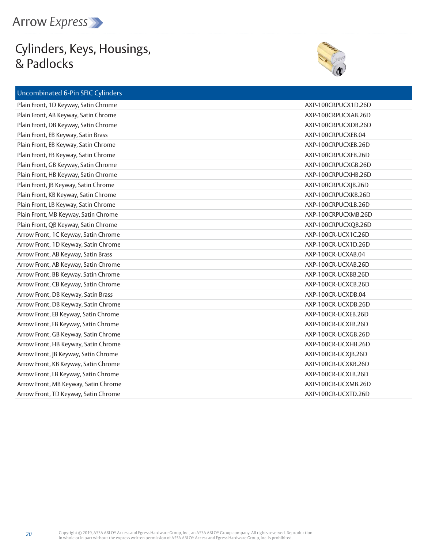## Cylinders, Keys, Housings, & Padlocks

#### Uncombinated 6-Pin SFIC Cylinders



| Plain Front, 1D Keyway, Satin Chrome | AXP-100CRPUCX1D.26D |
|--------------------------------------|---------------------|
| Plain Front, AB Keyway, Satin Chrome | AXP-100CRPUCXAB.26D |
| Plain Front, DB Keyway, Satin Chrome | AXP-100CRPUCXDB.26D |
| Plain Front, EB Keyway, Satin Brass  | AXP-100CRPUCXEB.04  |
| Plain Front, EB Keyway, Satin Chrome | AXP-100CRPUCXEB.26D |
| Plain Front, FB Keyway, Satin Chrome | AXP-100CRPUCXFB.26D |
| Plain Front, GB Keyway, Satin Chrome | AXP-100CRPUCXGB.26D |
| Plain Front, HB Keyway, Satin Chrome | AXP-100CRPUCXHB.26D |
| Plain Front, JB Keyway, Satin Chrome | AXP-100CRPUCX B.26D |
| Plain Front, KB Keyway, Satin Chrome | AXP-100CRPUCXKB.26D |
| Plain Front, LB Keyway, Satin Chrome | AXP-100CRPUCXLB.26D |
| Plain Front, MB Keyway, Satin Chrome | AXP-100CRPUCXMB.26D |
| Plain Front, QB Keyway, Satin Chrome | AXP-100CRPUCXQB.26D |
| Arrow Front, 1C Keyway, Satin Chrome | AXP-100CR-UCX1C.26D |
| Arrow Front, 1D Keyway, Satin Chrome | AXP-100CR-UCX1D.26D |
| Arrow Front, AB Keyway, Satin Brass  | AXP-100CR-UCXAB.04  |
| Arrow Front, AB Keyway, Satin Chrome | AXP-100CR-UCXAB.26D |
| Arrow Front, BB Keyway, Satin Chrome | AXP-100CR-UCXBB.26D |
| Arrow Front, CB Keyway, Satin Chrome | AXP-100CR-UCXCB.26D |
| Arrow Front, DB Keyway, Satin Brass  | AXP-100CR-UCXDB.04  |
| Arrow Front, DB Keyway, Satin Chrome | AXP-100CR-UCXDB.26D |
| Arrow Front, EB Keyway, Satin Chrome | AXP-100CR-UCXEB.26D |
| Arrow Front, FB Keyway, Satin Chrome | AXP-100CR-UCXFB.26D |
| Arrow Front, GB Keyway, Satin Chrome | AXP-100CR-UCXGB.26D |
| Arrow Front, HB Keyway, Satin Chrome | AXP-100CR-UCXHB.26D |
| Arrow Front, JB Keyway, Satin Chrome | AXP-100CR-UCX B.26D |
| Arrow Front, KB Keyway, Satin Chrome | AXP-100CR-UCXKB.26D |
| Arrow Front, LB Keyway, Satin Chrome | AXP-100CR-UCXLB.26D |
| Arrow Front, MB Keyway, Satin Chrome | AXP-100CR-UCXMB.26D |
| Arrow Front, TD Keyway, Satin Chrome | AXP-100CR-UCXTD.26D |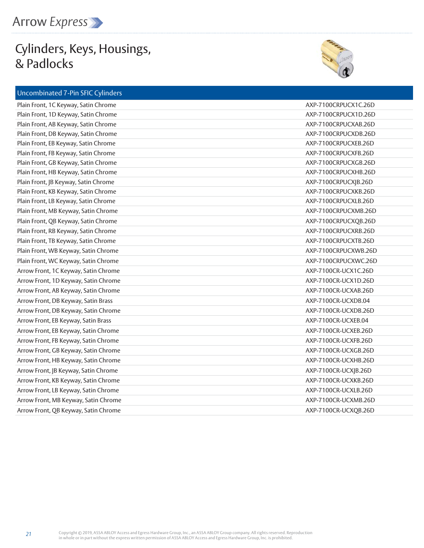## Cylinders, Keys, Housings, & Padlocks

#### Uncombinated 7-Pin SFIC Cylinders



| Plain Front, 1C Keyway, Satin Chrome | AXP-7100CRPUCX1C.26D |
|--------------------------------------|----------------------|
| Plain Front, 1D Keyway, Satin Chrome | AXP-7100CRPUCX1D.26D |
| Plain Front, AB Keyway, Satin Chrome | AXP-7100CRPUCXAB.26D |
| Plain Front, DB Keyway, Satin Chrome | AXP-7100CRPUCXDB.26D |
| Plain Front, EB Keyway, Satin Chrome | AXP-7100CRPUCXEB.26D |
| Plain Front, FB Keyway, Satin Chrome | AXP-7100CRPUCXFB.26D |
| Plain Front, GB Keyway, Satin Chrome | AXP-7100CRPUCXGB.26D |
| Plain Front, HB Keyway, Satin Chrome | AXP-7100CRPUCXHB.26D |
| Plain Front, JB Keyway, Satin Chrome | AXP-7100CRPUCXJB.26D |
| Plain Front, KB Keyway, Satin Chrome | AXP-7100CRPUCXKB.26D |
| Plain Front, LB Keyway, Satin Chrome | AXP-7100CRPUCXLB.26D |
| Plain Front, MB Keyway, Satin Chrome | AXP-7100CRPUCXMB.26D |
| Plain Front, QB Keyway, Satin Chrome | AXP-7100CRPUCXQB.26D |
| Plain Front, RB Keyway, Satin Chrome | AXP-7100CRPUCXRB.26D |
| Plain Front, TB Keyway, Satin Chrome | AXP-7100CRPUCXTB.26D |
| Plain Front, WB Keyway, Satin Chrome | AXP-7100CRPUCXWB.26D |
| Plain Front, WC Keyway, Satin Chrome | AXP-7100CRPUCXWC.26D |
| Arrow Front, 1C Keyway, Satin Chrome | AXP-7100CR-UCX1C.26D |
| Arrow Front, 1D Keyway, Satin Chrome | AXP-7100CR-UCX1D.26D |
| Arrow Front, AB Keyway, Satin Chrome | AXP-7100CR-UCXAB.26D |
| Arrow Front, DB Keyway, Satin Brass  | AXP-7100CR-UCXDB.04  |
| Arrow Front, DB Keyway, Satin Chrome | AXP-7100CR-UCXDB.26D |
| Arrow Front, EB Keyway, Satin Brass  | AXP-7100CR-UCXEB.04  |
| Arrow Front, EB Keyway, Satin Chrome | AXP-7100CR-UCXEB.26D |
| Arrow Front, FB Keyway, Satin Chrome | AXP-7100CR-UCXFB.26D |
| Arrow Front, GB Keyway, Satin Chrome | AXP-7100CR-UCXGB.26D |
| Arrow Front, HB Keyway, Satin Chrome | AXP-7100CR-UCXHB.26D |
| Arrow Front, JB Keyway, Satin Chrome | AXP-7100CR-UCXJB.26D |
| Arrow Front, KB Keyway, Satin Chrome | AXP-7100CR-UCXKB.26D |
| Arrow Front, LB Keyway, Satin Chrome | AXP-7100CR-UCXLB.26D |
| Arrow Front, MB Keyway, Satin Chrome | AXP-7100CR-UCXMB.26D |
| Arrow Front, QB Keyway, Satin Chrome | AXP-7100CR-UCXQB.26D |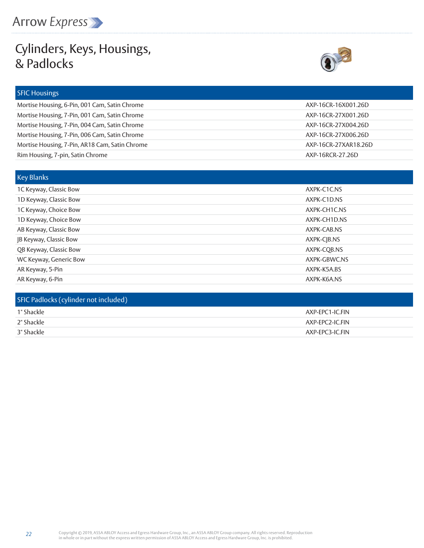

### Cylinders, Keys, Housings, & Padlocks



| <b>SFIC Housings</b>                           |                      |
|------------------------------------------------|----------------------|
| Mortise Housing, 6-Pin, 001 Cam, Satin Chrome  | AXP-16CR-16X001.26D  |
| Mortise Housing, 7-Pin, 001 Cam, Satin Chrome  | AXP-16CR-27X001.26D  |
| Mortise Housing, 7-Pin, 004 Cam, Satin Chrome  | AXP-16CR-27X004.26D  |
| Mortise Housing, 7-Pin, 006 Cam, Satin Chrome  | AXP-16CR-27X006.26D  |
| Mortise Housing, 7-Pin, AR18 Cam, Satin Chrome | AXP-16CR-27XAR18.26D |
| Rim Housing, 7-pin, Satin Chrome               | AXP-16RCR-27.26D     |
|                                                |                      |

| <b>Key Blanks</b>      |              |
|------------------------|--------------|
| 1C Keyway, Classic Bow | AXPK-C1C.NS  |
| 1D Keyway, Classic Bow | AXPK-C1D.NS  |
| 1C Keyway, Choice Bow  | AXPK-CH1C.NS |
| 1D Keyway, Choice Bow  | AXPK-CH1D.NS |
| AB Keyway, Classic Bow | AXPK-CAB.NS  |
| JB Keyway, Classic Bow | AXPK-CJB.NS  |
| QB Keyway, Classic Bow | AXPK-CQB.NS  |
| WC Keyway, Generic Bow | AXPK-GBWC.NS |
| AR Keyway, 5-Pin       | AXPK-K5A.BS  |
| AR Keyway, 6-Pin       | AXPK-K6A.NS  |

| SFIC Padlocks (cylinder not included) |                 |
|---------------------------------------|-----------------|
| 1" Shackle                            | AXP-EPC1-IC.FIN |
| 2" Shackle                            | AXP-EPC2-IC.FIN |
| 3" Shackle                            | AXP-EPC3-IC.FIN |